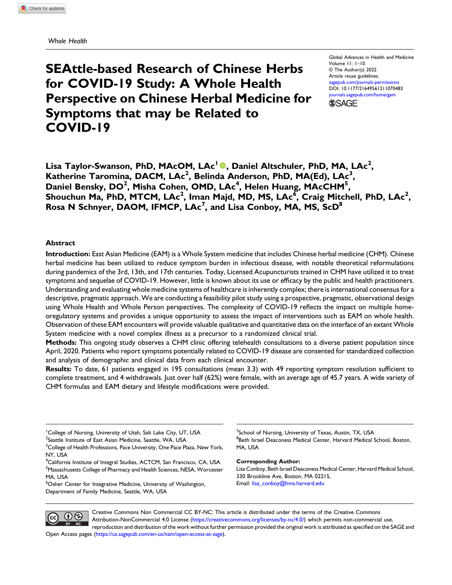Whole Health

# SEAttle-based Research of Chinese Herbs for COVID-19 Study: A Whole Health Perspective on Chinese Herbal Medicine for Symptoms that may be Related to COVID-19

Global Advances in Health and Medicine Volume 11: 1–10 © The Author(s) 2022 Article reuse guidelines: [sagepub.com/journals-permissions](https://us.sagepub.com/en-us/journals-permissions) DOI: [10.1177/21649561211070483](https://doi.org/10.1177/21649561211070483) [journals.sagepub.com/home/gam](https://journals.sagepub.com/home/gam) **SSAGE** 

Lisa Taylor-Swanson, PhD, MAcOM, LAc<sup>1</sup> ®, Daniel Altschuler, PhD, MA, LAc<sup>2</sup>, Katherine Taromina, DACM, LAc<sup>2</sup>, Belinda Anderson, PhD, MA(Ed), LAc<sup>3</sup>, Daniel Bensky, DO<sup>2</sup>, Misha Cohen, OMD, LAc<sup>4</sup>, Helen Huang, MAcCHM<sup>5</sup>, Shouchun Ma, PhD, MTCM, LAc<sup>2</sup>, Iman Majd, MD, MS, LAc<sup>6</sup>, Craig Mitchell, PhD, LAc<sup>2</sup>, Rosa N Schnyer, DAOM, IFMCP, LAc<sup>7</sup>, and Lisa Conboy, MA, MS, ScD<sup>8</sup>

#### Abstract

Introduction: East Asian Medicine (EAM) is a Whole System medicine that includes Chinese herbal medicine (CHM). Chinese herbal medicine has been utilized to reduce symptom burden in infectious disease, with notable theoretical reformulations during pandemics of the 3rd, 13th, and 17th centuries. Today, Licensed Acupuncturists trained in CHM have utilized it to treat symptoms and sequelae of COVID-19. However, little is known about its use or efficacy by the public and health practitioners. Understanding and evaluating whole medicine systems of healthcare is inherently complex; there is international consensus for a descriptive, pragmatic approach. We are conducting a feasibility pilot study using a prospective, pragmatic, observational design using Whole Health and Whole Person perspectives. The complexity of COVID-19 reflects the impact on multiple homeoregulatory systems and provides a unique opportunity to assess the impact of interventions such as EAM on whole health. Observation of these EAM encounters will provide valuable qualitative and quantitative data on the interface of an extant Whole System medicine with a novel complex illness as a precursor to a randomized clinical trial.

Methods: This ongoing study observes a CHM clinic offering telehealth consultations to a diverse patient population since April, 2020. Patients who report symptoms potentially related to COVID-19 disease are consented for standardized collection and analysis of demographic and clinical data from each clinical encounter.

Results: To date, 61 patients engaged in 195 consultations (mean 3.3) with 49 reporting symptom resolution sufficient to complete treatment, and 4 withdrawals. Just over half (62%) were female, with an average age of 45.7 years. A wide variety of CHM formulas and EAM dietary and lifestyle modifications were provided.

<sup>1</sup> College of Nursing, University of Utah, Salt Lake City, UT, USA

<sup>2</sup>Seattle Institute of East Asian Medicine, Seattle, WA, USA

 $^3$ College of Health Professions, Pace University, One Pace Plaza, New York, NY, USA

<sup>4</sup>California Institute of Integral Studies, ACTCM, San Francisco, CA, USA <sup>5</sup>Massachusetts College of Pharmacy and Health Sciences, NESA, Worcester MA, USA

6 Osher Center for Integrative Medicine, University of Washington, Department of Family Medicine, Seattle, WA, USA

 $^7$ School of Nursing, University of Texas, Austin, TX, USA <sup>8</sup> Beth Israel Deaconess Medical Center, Harvard Medical School, Boston, MA, USA

#### Corresponding Author:

Lisa Conboy, Beth Israel Deaconess Medical Center, Harvard Medical School, 330 Brookline Ave, Boston, MA 02215, Email: [lisa\\_conboy@hms.harvard.edu](mailto:lisa_conboy@hms.harvard.edu)



Creative Commons Non Commercial CC BY-NC: This article is distributed under the terms of the Creative Commons Attribution-NonCommercial 4.0 License ([https://creativecommons.org/licenses/by-nc/4.0/\)](https://creativecommons.org/licenses/by-nc/4.0/) which permits non-commercial use, reproduction and distribution of the work without further permission provided the original work is attributed as specified on the SAGE and Open Access pages ([https://us.sagepub.com/en-us/nam/open-access-at-sage\)](https://us.sagepub.com/en-us/nam/open-access-at-sage).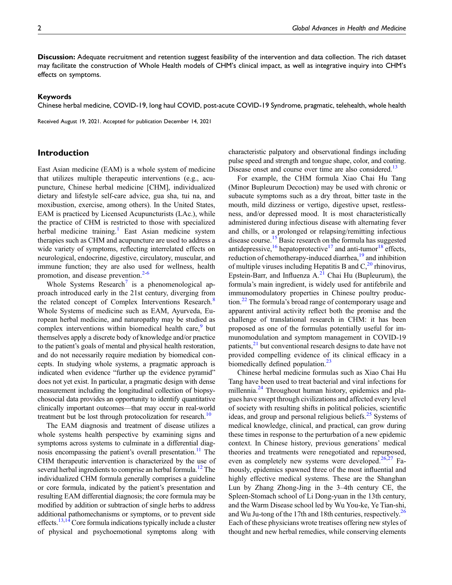Discussion: Adequate recruitment and retention suggest feasibility of the intervention and data collection. The rich dataset may facilitate the construction of Whole Health models of CHM's clinical impact, as well as integrative inquiry into CHM's effects on symptoms.

#### Keywords

Chinese herbal medicine, COVID-19, long haul COVID, post-acute COVID-19 Syndrome, pragmatic, telehealth, whole health

Received August 19, 2021. Accepted for publication December 14, 2021

## Introduction

East Asian medicine (EAM) is a whole system of medicine that utilizes multiple therapeutic interventions (e.g., acupuncture, Chinese herbal medicine [CHM], individualized dietary and lifestyle self-care advice, gua sha, tui na, and moxibustion, exercise, among others). In the United States, EAM is practiced by Licensed Acupuncturists (LAc.), while the practice of CHM is restricted to those with specialized herbal medicine training.<sup>[1](#page-8-0)</sup> East Asian medicine system therapies such as CHM and acupuncture are used to address a wide variety of symptoms, reflecting interrelated effects on neurological, endocrine, digestive, circulatory, muscular, and immune function; they are also used for wellness, health promotion, and disease prevention.<sup>2-[6](#page-8-2)</sup>

Whole Systems Research<sup>[7](#page-8-3)</sup> is a phenomenological approach introduced early in the 21st century, diverging from the related concept of Complex Interventions Research.<sup>[8](#page-8-4)</sup> Whole Systems of medicine such as EAM, Ayurveda, European herbal medicine, and naturopathy may be studied as complex interventions within biomedical health care, $9$  but themselves apply a discrete body of knowledge and/or practice to the patient's goals of mental and physical health restoration, and do not necessarily require mediation by biomedical concepts. In studying whole systems, a pragmatic approach is indicated when evidence "further up the evidence pyramid" does not yet exist. In particular, a pragmatic design with dense measurement including the longitudinal collection of biopsychosocial data provides an opportunity to identify quantitative clinically important outcomes—that may occur in real-world treatment but be lost through protocolization for research.<sup>10</sup>

The EAM diagnosis and treatment of disease utilizes a whole systems health perspective by examining signs and symptoms across systems to culminate in a differential diag-nosis encompassing the patient's overall presentation.<sup>[11](#page-8-7)</sup> The CHM therapeutic intervention is characterized by the use of several herbal ingredients to comprise an herbal formula.<sup>12</sup> The individualized CHM formula generally comprises a guideline or core formula, indicated by the patient's presentation and resulting EAM differential diagnosis; the core formula may be modified by addition or subtraction of single herbs to address additional pathomechanisms or symptoms, or to prevent side effects.<sup>13,[14](#page-8-10)</sup> Core formula indications typically include a cluster of physical and psychoemotional symptoms along with

characteristic palpatory and observational findings including pulse speed and strength and tongue shape, color, and coating. Disease onset and course over time are also considered.<sup>13</sup>

For example, the CHM formula Xiao Chai Hu Tang (Minor Bupleurum Decoction) may be used with chronic or subacute symptoms such as a dry throat, bitter taste in the mouth, mild dizziness or vertigo, digestive upset, restlessness, and/or depressed mood. It is most characteristically administered during infectious disease with alternating fever and chills, or a prolonged or relapsing/remitting infectious disease course.<sup>[15](#page-8-11)</sup> Basic research on the formula has suggested antidepressive,  $^{16}$  $^{16}$  $^{16}$  hepatoprotective<sup>[17](#page-8-13)</sup> and anti-tumor<sup>[18](#page-8-14)</sup> effects, reduction of chemotherapy-induced diarrhea,<sup>[19](#page-8-15)</sup> and inhibition of multiple viruses including Hepatitis B and  $C<sub>1</sub><sup>20</sup>$  $C<sub>1</sub><sup>20</sup>$  $C<sub>1</sub><sup>20</sup>$  rhinovirus, Epstein-Barr, and Influenza  $A<sup>21</sup>$  $A<sup>21</sup>$  $A<sup>21</sup>$  Chai Hu (Bupleurum), the formula's main ingredient, is widely used for antifebrile and immunomodulatory properties in Chinese poultry produc-tion.<sup>[22](#page-8-18)</sup> The formula's broad range of contemporary usage and apparent antiviral activity reflect both the promise and the challenge of translational research in CHM: it has been proposed as one of the formulas potentially useful for immunomodulation and symptom management in COVID-19 patients,<sup>[21](#page-8-17)</sup> but conventional research designs to date have not provided compelling evidence of its clinical efficacy in a biomedically defined population. $23$ 

Chinese herbal medicine formulas such as Xiao Chai Hu Tang have been used to treat bacterial and viral infections for millennia.<sup>24</sup> Throughout human history, epidemics and plagues have swept through civilizations and affected every level of society with resulting shifts in political policies, scientific ideas, and group and personal religious beliefs.<sup>[25](#page-8-21)</sup> Systems of medical knowledge, clinical, and practical, can grow during these times in response to the perturbation of a new epidemic context. In Chinese history, previous generations' medical theories and treatments were renegotiated and repurposed, even as completely new systems were developed. $26,27$  $26,27$  Famously, epidemics spawned three of the most influential and highly effective medical systems. These are the Shanghan Lun by Zhang Zhong-Jing in the 3–4th century CE, the Spleen-Stomach school of Li Dong-yuan in the 13th century, and the Warm Disease school led by Wu You-ke, Ye Tian-shi, and Wu Ju-tong of the 17th and 18th centuries, respectively.<sup>[26](#page-8-22)</sup> Each of these physicians wrote treatises offering new styles of thought and new herbal remedies, while conserving elements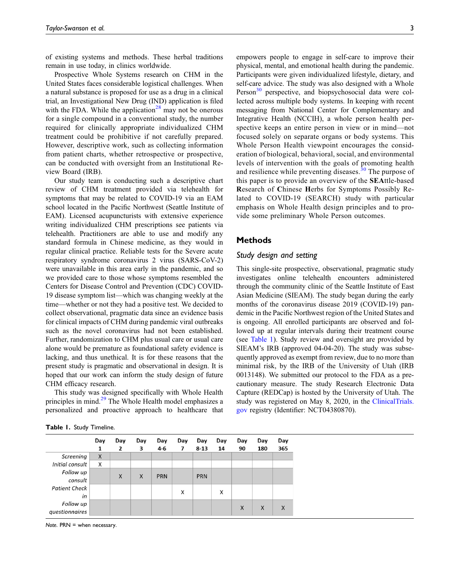of existing systems and methods. These herbal traditions remain in use today, in clinics worldwide.

Prospective Whole Systems research on CHM in the United States faces considerable logistical challenges. When a natural substance is proposed for use as a drug in a clinical trial, an Investigational New Drug (IND) application is filed with the FDA. While the application<sup>[28](#page-8-24)</sup> may not be onerous for a single compound in a conventional study, the number required for clinically appropriate individualized CHM treatment could be prohibitive if not carefully prepared. However, descriptive work, such as collecting information from patient charts, whether retrospective or prospective, can be conducted with oversight from an Institutional Review Board (IRB).

Our study team is conducting such a descriptive chart review of CHM treatment provided via telehealth for symptoms that may be related to COVID-19 via an EAM school located in the Pacific Northwest (Seattle Institute of EAM). Licensed acupuncturists with extensive experience writing individualized CHM prescriptions see patients via telehealth. Practitioners are able to use and modify any standard formula in Chinese medicine, as they would in regular clinical practice. Reliable tests for the Severe acute respiratory syndrome coronavirus 2 virus (SARS-CoV-2) were unavailable in this area early in the pandemic, and so we provided care to those whose symptoms resembled the Centers for Disease Control and Prevention (CDC) COVID-19 disease symptom list—which was changing weekly at the time—whether or not they had a positive test. We decided to collect observational, pragmatic data since an evidence basis for clinical impacts of CHM during pandemic viral outbreaks such as the novel coronavirus had not been established. Further, randomization to CHM plus usual care or usual care alone would be premature as foundational safety evidence is lacking, and thus unethical. It is for these reasons that the present study is pragmatic and observational in design. It is hoped that our work can inform the study design of future CHM efficacy research.

This study was designed specifically with Whole Health principles in mind.<sup>[29](#page-8-25)</sup> The Whole Health model emphasizes a personalized and proactive approach to healthcare that

| Table 1. Study Timeline. |  |  |  |  |
|--------------------------|--|--|--|--|
|--------------------------|--|--|--|--|

this paper is to provide an overview of the SEAttle-based Research of Chinese Herbs for Symptoms Possibly Related to COVID-19 (SEARCH) study with particular emphasis on Whole Health design principles and to provide some preliminary Whole Person outcomes. **Methods** Study design and setting This single-site prospective, observational, pragmatic study

investigates online telehealth encounters administered through the community clinic of the Seattle Institute of East Asian Medicine (SIEAM). The study began during the early months of the coronavirus disease 2019 (COVID-19) pandemic in the Pacific Northwest region of the United States and is ongoing. All enrolled participants are observed and followed up at regular intervals during their treatment course (see [Table 1](#page-2-0)). Study review and oversight are provided by SIEAM's IRB (approved 04-04-20). The study was subsequently approved as exempt from review, due to no more than minimal risk, by the IRB of the University of Utah (IRB 0013148). We submitted our protocol to the FDA as a precautionary measure. The study Research Electronic Data Capture (REDCap) is hosted by the University of Utah. The study was registered on May 8, 2020, in the [ClinicalTrials.](http://ClinicalTrials.gov) [gov](http://ClinicalTrials.gov) registry (Identifier: NCT04380870).

empowers people to engage in self-care to improve their physical, mental, and emotional health during the pandemic. Participants were given individualized lifestyle, dietary, and self-care advice. The study was also designed with a Whole Person<sup>[30](#page-8-26)</sup> perspective, and biopsychosocial data were collected across multiple body systems. In keeping with recent messaging from National Center for Complementary and Integrative Health (NCCIH), a whole person health perspective keeps an entire person in view or in mind—not focused solely on separate organs or body systems. This Whole Person Health viewpoint encourages the consideration of biological, behavioral, social, and environmental levels of intervention with the goals of promoting health and resilience while preventing diseases. $30$  The purpose of

|                      | Day<br>1 | Day<br>2 | Day<br>3 | Day<br>4-6 | Day<br>7 | Day<br>$8 - 13$ | Day<br>14 | Day<br>90 | Day<br>180 | Day<br>365 |
|----------------------|----------|----------|----------|------------|----------|-----------------|-----------|-----------|------------|------------|
| Screening            | X        |          |          |            |          |                 |           |           |            |            |
| Initial consult      | X        |          |          |            |          |                 |           |           |            |            |
| Follow up            |          | X        | X        | <b>PRN</b> |          | <b>PRN</b>      |           |           |            |            |
| consult              |          |          |          |            |          |                 |           |           |            |            |
| <b>Patient Check</b> |          |          |          |            | X        |                 | X         |           |            |            |
| in                   |          |          |          |            |          |                 |           |           |            |            |
| Follow up            |          |          |          |            |          |                 |           | X         | X          | X          |
| questionnaires       |          |          |          |            |          |                 |           |           |            |            |

<span id="page-2-0"></span>Note.  $PRN =$  when necessary.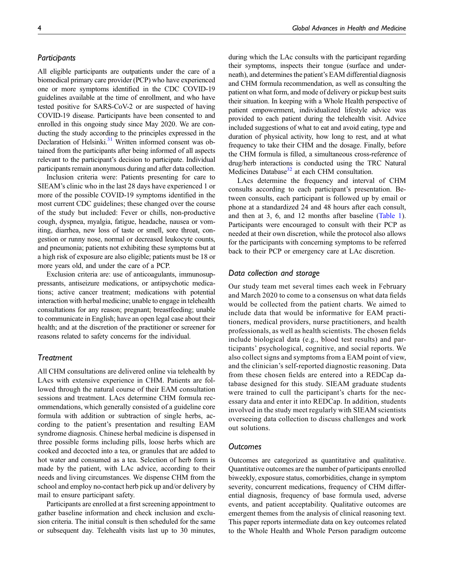## **Participants**

All eligible participants are outpatients under the care of a biomedical primary care provider (PCP) who have experienced one or more symptoms identified in the CDC COVID-19 guidelines available at the time of enrollment, and who have tested positive for SARS-CoV-2 or are suspected of having COVID-19 disease. Participants have been consented to and enrolled in this ongoing study since May 2020. We are conducting the study according to the principles expressed in the Declaration of Helsinki.<sup>31</sup> Written informed consent was obtained from the participants after being informed of all aspects relevant to the participant's decision to participate. Individual participants remain anonymous during and after data collection.

Inclusion criteria were: Patients presenting for care to SIEAM's clinic who in the last 28 days have experienced 1 or more of the possible COVID-19 symptoms identified in the most current CDC guidelines; these changed over the course of the study but included: Fever or chills, non-productive cough, dyspnea, myalgia, fatigue, headache, nausea or vomiting, diarrhea, new loss of taste or smell, sore throat, congestion or runny nose, normal or decreased leukocyte counts, and pneumonia; patients not exhibiting these symptoms but at a high risk of exposure are also eligible; patients must be 18 or more years old, and under the care of a PCP.

Exclusion criteria are: use of anticoagulants, immunosuppressants, antiseizure medications, or antipsychotic medications; active cancer treatment; medications with potential interaction with herbal medicine; unable to engage in telehealth consultations for any reason; pregnant; breastfeeding; unable to communicate in English; have an open legal case about their health; and at the discretion of the practitioner or screener for reasons related to safety concerns for the individual.

## **Treatment**

All CHM consultations are delivered online via telehealth by LAcs with extensive experience in CHM. Patients are followed through the natural course of their EAM consultation sessions and treatment. LAcs determine CHM formula recommendations, which generally consisted of a guideline core formula with addition or subtraction of single herbs, according to the patient's presentation and resulting EAM syndrome diagnosis. Chinese herbal medicine is dispensed in three possible forms including pills, loose herbs which are cooked and decocted into a tea, or granules that are added to hot water and consumed as a tea. Selection of herb form is made by the patient, with LAc advice, according to their needs and living circumstances. We dispense CHM from the school and employ no-contact herb pick up and/or delivery by mail to ensure participant safety.

Participants are enrolled at a first screening appointment to gather baseline information and check inclusion and exclusion criteria. The initial consult is then scheduled for the same or subsequent day. Telehealth visits last up to 30 minutes,

during which the LAc consults with the participant regarding their symptoms, inspects their tongue (surface and underneath), and determines the patient's EAM differential diagnosis and CHM formula recommendation, as well as consulting the patient on what form, and mode of delivery or pickup best suits their situation. In keeping with a Whole Health perspective of patient empowerment, individualized lifestyle advice was provided to each patient during the telehealth visit. Advice included suggestions of what to eat and avoid eating, type and duration of physical activity, how long to rest, and at what frequency to take their CHM and the dosage. Finally, before the CHM formula is filled, a simultaneous cross-reference of drug/herb interactions is conducted using the TRC Natural Medicines Database<sup>[32](#page-8-28)</sup> at each CHM consultation.

LAcs determine the frequency and interval of CHM consults according to each participant's presentation. Between consults, each participant is followed up by email or phone at a standardized 24 and 48 hours after each consult, and then at 3, 6, and 12 months after baseline [\(Table 1\)](#page-2-0). Participants were encouraged to consult with their PCP as needed at their own discretion, while the protocol also allows for the participants with concerning symptoms to be referred back to their PCP or emergency care at LAc discretion.

## Data collection and storage

Our study team met several times each week in February and March 2020 to come to a consensus on what data fields would be collected from the patient charts. We aimed to include data that would be informative for EAM practitioners, medical providers, nurse practitioners, and health professionals, as well as health scientists. The chosen fields include biological data (e.g., blood test results) and participants' psychological, cognitive, and social reports. We also collect signs and symptoms from a EAM point of view, and the clinician's self-reported diagnostic reasoning. Data from these chosen fields are entered into a REDCap database designed for this study. SIEAM graduate students were trained to cull the participant's charts for the necessary data and enter it into REDCap. In addition, students involved in the study meet regularly with SIEAM scientists overseeing data collection to discuss challenges and work out solutions.

## **Outcomes**

Outcomes are categorized as quantitative and qualitative. Quantitative outcomes are the number of participants enrolled biweekly, exposure status, comorbidities, change in symptom severity, concurrent medications, frequency of CHM differential diagnosis, frequency of base formula used, adverse events, and patient acceptability. Qualitative outcomes are emergent themes from the analysis of clinical reasoning text. This paper reports intermediate data on key outcomes related to the Whole Health and Whole Person paradigm outcome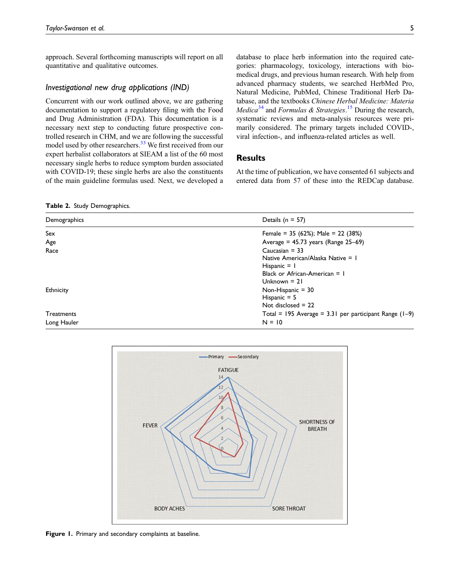approach. Several forthcoming manuscripts will report on all quantitative and qualitative outcomes.

## Investigational new drug applications (IND)

Concurrent with our work outlined above, we are gathering documentation to support a regulatory filing with the Food and Drug Administration (FDA). This documentation is a necessary next step to conducting future prospective controlled research in CHM, and we are following the successful model used by other researchers.<sup>[33](#page-8-29)</sup> We first received from our expert herbalist collaborators at SIEAM a list of the 60 most necessary single herbs to reduce symptom burden associated with COVID-19; these single herbs are also the constituents of the main guideline formulas used. Next, we developed a

database to place herb information into the required categories: pharmacology, toxicology, interactions with biomedical drugs, and previous human research. With help from advanced pharmacy students, we searched HerbMed Pro, Natural Medicine, PubMed, Chinese Traditional Herb Database, and the textbooks Chinese Herbal Medicine: Materia *Medica*<sup>[34](#page-8-30)</sup> and *Formulas* & *Strategies*.<sup>[15](#page-8-11)</sup> During the research, systematic reviews and meta-analysis resources were primarily considered. The primary targets included COVID-, viral infection-, and influenza-related articles as well.

## **Results**

At the time of publication, we have consented 61 subjects and entered data from 57 of these into the REDCap database.

<span id="page-4-0"></span>Table 2. Study Demographics.

| Demographics | Details ( $n = 57$ )                                     |
|--------------|----------------------------------------------------------|
| Sex          | Female = $35$ (62%); Male = $22$ (38%)                   |
| Age          | Average = $45.73$ years (Range $25-69$ )                 |
| Race         | Caucasian $=$ 33                                         |
|              | Native American/Alaska Native = 1                        |
|              | Hispanic $=$ 1                                           |
|              | Black or African-American $= 1$                          |
|              | Unknown $= 21$                                           |
| Ethnicity    | Non-Hispanic $=$ 30                                      |
|              | Hispanic $= 5$                                           |
|              | Not disclosed $= 22$                                     |
| Treatments   | Total = 195 Average = $3.31$ per participant Range (1-9) |
| Long Hauler  | $N = 10$                                                 |



<span id="page-4-1"></span>Figure 1. Primary and secondary complaints at baseline.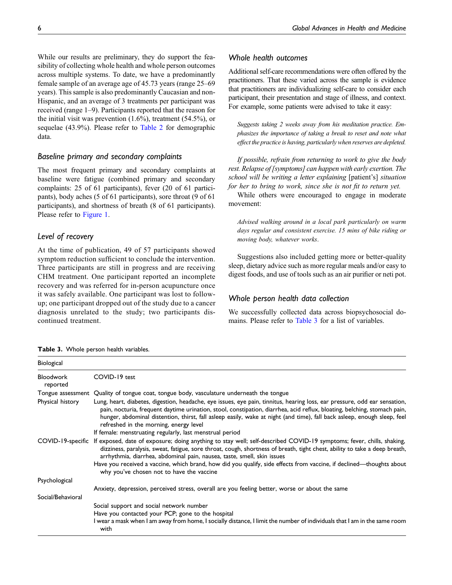While our results are preliminary, they do support the feasibility of collecting whole health and whole person outcomes across multiple systems. To date, we have a predominantly female sample of an average age of 45.73 years (range 25–69 years). This sample is also predominantly Caucasian and non-Hispanic, and an average of 3 treatments per participant was received (range 1–9). Participants reported that the reason for the initial visit was prevention  $(1.6\%)$ , treatment  $(54.5\%)$ , or sequelae (43.9%). Please refer to [Table 2](#page-4-0) for demographic data.

# Baseline primary and secondary complaints

The most frequent primary and secondary complaints at baseline were fatigue (combined primary and secondary complaints: 25 of 61 participants), fever (20 of 61 participants), body aches (5 of 61 participants), sore throat (9 of 61 participants), and shortness of breath (8 of 61 participants). Please refer to [Figure 1](#page-4-1).

# Level of recovery

At the time of publication, 49 of 57 participants showed symptom reduction sufficient to conclude the intervention. Three participants are still in progress and are receiving CHM treatment. One participant reported an incomplete recovery and was referred for in-person acupuncture once it was safely available. One participant was lost to followup; one participant dropped out of the study due to a cancer diagnosis unrelated to the study; two participants discontinued treatment.

# Whole health outcomes

Additional self-care recommendations were often offered by the practitioners. That these varied across the sample is evidence that practitioners are individualizing self-care to consider each participant, their presentation and stage of illness, and context. For example, some patients were advised to take it easy:

Suggests taking 2 weeks away from his meditation practice. Emphasizes the importance of taking a break to reset and note what effect the practice is having, particularly when reserves are depleted.

If possible, refrain from returning to work to give the body rest. Relapse of [symptoms] can happen with early exertion. The school will be writing a letter explaining [patient's] situation for her to bring to work, since she is not fit to return yet.

While others were encouraged to engage in moderate movement:

Advised walking around in a local park particularly on warm days regular and consistent exercise. 15 mins of bike riding or moving body, whatever works.

Suggestions also included getting more or better-quality sleep, dietary advice such as more regular meals and/or easy to digest foods, and use of tools such as an air purifier or neti pot.

## Whole person health data collection

We successfully collected data across biopsychosocial do-mains. Please refer to [Table 3](#page-5-0) for a list of variables.

<span id="page-5-0"></span>

| Table 3. Whole person health variables. |  |  |  |
|-----------------------------------------|--|--|--|
|-----------------------------------------|--|--|--|

| Biological                   |                                                                                                                                                                                                                                                                                                                                                                                                                                                                         |
|------------------------------|-------------------------------------------------------------------------------------------------------------------------------------------------------------------------------------------------------------------------------------------------------------------------------------------------------------------------------------------------------------------------------------------------------------------------------------------------------------------------|
| <b>Bloodwork</b><br>reported | COVID-19 test                                                                                                                                                                                                                                                                                                                                                                                                                                                           |
|                              | Tongue assessment Quality of tongue coat, tongue body, vasculature underneath the tongue                                                                                                                                                                                                                                                                                                                                                                                |
| Physical history             | Lung, heart, diabetes, digestion, headache, eye issues, eye pain, tinnitus, hearing loss, ear pressure, odd ear sensation,<br>pain, nocturia, frequent daytime urination, stool, constipation, diarrhea, acid reflux, bloating, belching, stomach pain,<br>hunger, abdominal distention, thirst, fall asleep easily, wake at night (and time), fall back asleep, enough sleep, feel<br>refreshed in the morning, energy level                                           |
|                              | If female: menstruating regularly, last menstrual period                                                                                                                                                                                                                                                                                                                                                                                                                |
|                              | COVID-19-specific If exposed, date of exposure; doing anything to stay well; self-described COVID-19 symptoms; fever, chills, shaking,<br>dizziness, paralysis, sweat, fatigue, sore throat, cough, shortness of breath, tight chest, ability to take a deep breath,<br>arrhythmia, diarrhea, abdominal pain, nausea, taste, smell, skin issues<br>Have you received a vaccine, which brand, how did you qualify, side effects from vaccine, if declined—thoughts about |
|                              | why you've chosen not to have the vaccine                                                                                                                                                                                                                                                                                                                                                                                                                               |
| Psychological                |                                                                                                                                                                                                                                                                                                                                                                                                                                                                         |
|                              | Anxiety, depression, perceived stress, overall are you feeling better, worse or about the same                                                                                                                                                                                                                                                                                                                                                                          |
| Social/Behavioral            |                                                                                                                                                                                                                                                                                                                                                                                                                                                                         |
|                              | Social support and social network number                                                                                                                                                                                                                                                                                                                                                                                                                                |
|                              | Have you contacted your PCP; gone to the hospital                                                                                                                                                                                                                                                                                                                                                                                                                       |
|                              | l wear a mask when I am away from home, I socially distance, I limit the number of individuals that I am in the same room<br>with                                                                                                                                                                                                                                                                                                                                       |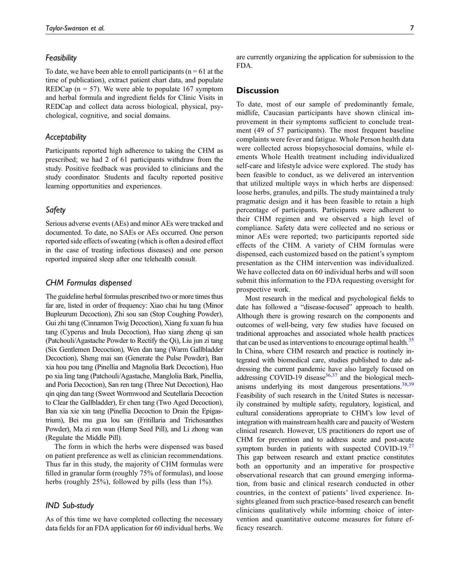#### **Feasibility**

To date, we have been able to enroll participants ( $n = 61$  at the time of publication), extract patient chart data, and populate REDCap ( $n = 57$ ). We were able to populate 167 symptom and herbal formula and ingredient fields for Clinic Visits in REDCap and collect data across biological, physical, psychological, cognitive, and social domains.

## Acceptability

Participants reported high adherence to taking the CHM as prescribed; we had 2 of 61 participants withdraw from the study. Positive feedback was provided to clinicians and the study coordinator. Students and faculty reported positive learning opportunities and experiences.

## Safety

Serious adverse events (AEs) and minor AEs were tracked and documented. To date, no SAEs or AEs occurred. One person reported side effects of sweating (which is often a desired effect in the case of treating infectious diseases) and one person reported impaired sleep after one telehealth consult.

## CHM Formulas dispensed

The guideline herbal formulas prescribed two or more times thus far are, listed in order of frequency: Xiao chai hu tang (Minor Bupleurum Decoction), Zhi sou san (Stop Coughing Powder), Gui zhi tang (Cinnamon Twig Decoction), Xiang fu xuan fu hua tang (Cyperus and Inula Decoction), Huo xiang zheng qi san (Patchouli/Agastache Powder to Rectify the Qi), Liu jun zi tang (Six Gentlemen Decoction), Wen dan tang (Warm Gallbladder Decoction), Sheng mai san (Generate the Pulse Powder), Ban xia hou pou tang (Pinellia and Magnolia Bark Decoction), Huo po xia ling tang (Patchouli/Agastache, Manglolia Bark, Pinellia, and Poria Decoction), San ren tang (Three Nut Decoction), Hao qin qing dan tang (Sweet Wormwood and Scutellaria Decoction to Clear the Gallbladder), Er chen tang (Two Aged Decoction), Ban xia xie xin tang (Pinellia Decoction to Drain the Epigastrium), Bei mu gua lou san (Fritillaria and Trichosanthes Powder), Ma zi ren wan (Hemp Seed Pill), and Li zhong wan (Regulate the Middle Pill).

The form in which the herbs were dispensed was based on patient preference as well as clinician recommendations. Thus far in this study, the majority of CHM formulas were filled in granular form (roughly 75% of formulas), and loose herbs (roughly 25%), followed by pills (less than 1%).

## IND Sub-study

As of this time we have completed collecting the necessary data fields for an FDA application for 60 individual herbs. We are currently organizing the application for submission to the FDA.

## **Discussion**

To date, most of our sample of predominantly female, midlife, Caucasian participants have shown clinical improvement in their symptoms sufficient to conclude treatment (49 of 57 participants). The most frequent baseline complaints were fever and fatigue. Whole Person health data were collected across biopsychosocial domains, while elements Whole Health treatment including individualized self-care and lifestyle advice were explored. The study has been feasible to conduct, as we delivered an intervention that utilized multiple ways in which herbs are dispensed: loose herbs, granules, and pills. The study maintained a truly pragmatic design and it has been feasible to retain a high percentage of participants. Participants were adherent to their CHM regimen and we observed a high level of compliance. Safety data were collected and no serious or minor AEs were reported; two participants reported side effects of the CHM. A variety of CHM formulas were dispensed, each customized based on the patient's symptom presentation as the CHM intervention was individualized. We have collected data on 60 individual herbs and will soon submit this information to the FDA requesting oversight for prospective work.

Most research in the medical and psychological fields to date has followed a "disease-focused" approach to health. Although there is growing research on the components and outcomes of well-being, very few studies have focused on traditional approaches and associated whole health practices that can be used as interventions to encourage optimal health.<sup>35</sup> In China, where CHM research and practice is routinely integrated with biomedical care, studies published to date addressing the current pandemic have also largely focused on addressing COVID-19 disease<sup>[36](#page-9-1),[37](#page-9-2)</sup> and the biological mechanisms underlying its most dangerous presentations.  $38,39$  $38,39$ Feasibility of such research in the United States is necessarily constrained by multiple safety, regulatory, logistical, and cultural considerations appropriate to CHM's low level of integration with mainstream health care and paucity of Western clinical research. However, US practitioners do report use of CHM for prevention and to address acute and post-acute symptom burden in patients with suspected COVID-19. $27$ This gap between research and extant practice constitutes both an opportunity and an imperative for prospective observational research that can ground emerging information, from basic and clinical research conducted in other countries, in the context of patients' lived experience. Insights gleaned from such practice-based research can benefit clinicians qualitatively while informing choice of intervention and quantitative outcome measures for future efficacy research.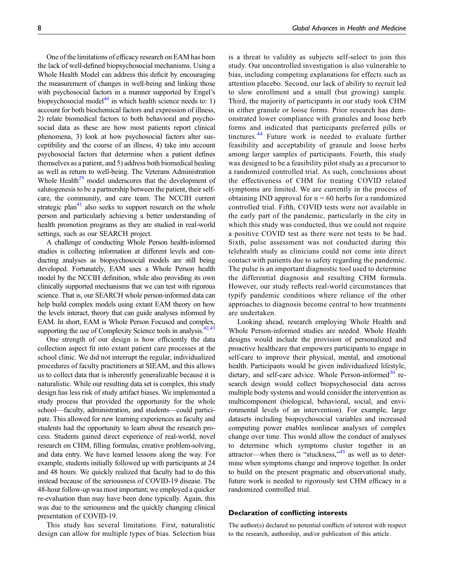One of the limitations of efficacy research on EAM has been the lack of well-defined biopsychosocial mechanisms. Using a Whole Health Model can address this deficit by encouraging the measurement of changes in well-being and linking those with psychosocial factors in a manner supported by Engel's biopsychosocial model<sup>[40](#page-9-5)</sup> in which health science needs to: 1) account for both biochemical factors and expression of illness, 2) relate biomedical factors to both behavioral and psychosocial data as these are how most patients report clinical phenomena, 3) look at how psychosocial factors alter susceptibility and the course of an illness, 4) take into account psychosocial factors that determine when a patient defines themselves as a patient, and 5) address both biomedical healing as well as return to well-being. The Veterans Administration Whole Health<sup>[29](#page-8-25)</sup> model underscores that the development of salutogenesis to be a partnership between the patient, their selfcare, the community, and care team. The NCCIH current strategic plan<sup>41</sup> also seeks to support research on the whole person and particularly achieving a better understanding of health promotion programs as they are studied in real-world settings, such as our SEARCH project.

A challenge of conducting Whole Person health-informed studies is collecting information at different levels and conducting analyses as biopsychosocial models are still being developed. Fortunately, EAM uses a Whole Person health model by the NCCIH definition, while also providing its own clinically supported mechanisms that we can test with rigorous science. That is, our SEARCH whole person-informed data can help build complex models using extant EAM theory on how the levels interact, theory that can guide analyses informed by EAM. In short, EAM is Whole Person Focused and complex, supporting the use of Complexity Science tools in analysis.<sup>[42](#page-9-7)[,43](#page-9-8)</sup>

One strength of our design is how efficiently the data collection aspect fit into extant patient care processes at the school clinic. We did not interrupt the regular, individualized procedures of faculty practitioners at SIEAM, and this allows us to collect data that is inherently generalizable because it is naturalistic. While our resulting data set is complex, this study design has less risk of study artifact biases. We implemented a study process that provided the opportunity for the whole school—faculty, administration, and students—could participate. This allowed for new learning experiences as faculty and students had the opportunity to learn about the research process. Students gained direct experience of real-world, novel research on CHM, filling formulas, creative problem-solving, and data entry. We have learned lessons along the way. For example, students initially followed up with participants at 24 and 48 hours. We quickly realized that faculty had to do this instead because of the seriousness of COVID-19 disease. The 48-hour follow-up was most important; we employed a quicker re-evaluation than may have been done typically. Again, this was due to the seriousness and the quickly changing clinical presentation of COVID-19.

This study has several limitations. First, naturalistic design can allow for multiple types of bias. Selection bias is a threat to validity as subjects self-select to join this study. Our uncontrolled investigation is also vulnerable to bias, including competing explanations for effects such as attention placebo. Second, our lack of ability to recruit led to slow enrollment and a small (but growing) sample. Third, the majority of participants in our study took CHM in either granule or loose forms. Prior research has demonstrated lower compliance with granules and loose herb forms and indicated that participants preferred pills or tinctures.<sup>[44](#page-9-9)</sup> Future work is needed to evaluate further feasibility and acceptability of granule and loose herbs among larger samples of participants. Fourth, this study was designed to be a feasibility pilot study as a precursor to a randomized controlled trial. As such, conclusions about the effectiveness of CHM for treating COVID related symptoms are limited. We are currently in the process of obtaining IND approval for  $n = 60$  herbs for a randomized controlled trial. Fifth, COVID tests were not available in the early part of the pandemic, particularly in the city in which this study was conducted, thus we could not require a positive COVID test as there were not tests to be had. Sixth, pulse assessment was not conducted during this telehealth study as clinicians could not come into direct contact with patients due to safety regarding the pandemic. The pulse is an important diagnostic tool used to determine the differential diagnosis and resulting CHM formula. However, our study reflects real-world circumstances that typify pandemic conditions where reliance of the other approaches to diagnosis become central to how treatments are undertaken.

Looking ahead, research employing Whole Health and Whole Person-informed studies are needed. Whole Health designs would include the provision of personalized and proactive healthcare that empowers participants to engage in self-care to improve their physical, mental, and emotional health. Participants would be given individualized lifestyle, dietary, and self-care advice. Whole Person-informed<sup>[30](#page-8-26)</sup> research design would collect biopsychosocial data across multiple body systems and would consider the intervention as multicomponent (biological, behavioral, social, and environmental levels of an intervention). For example, large datasets including biopsychosocial variables and increased computing power enables nonlinear analyses of complex change over time. This would allow the conduct of analyses to determine which symptoms cluster together in an attractor—when there is "stuckness,"<sup>[45](#page-9-10)</sup> as well as to determine when symptoms change and improve together. In order to build on the present pragmatic and observational study, future work is needed to rigorously test CHM efficacy in a randomized controlled trial.

#### Declaration of conflicting interests

The author(s) declared no potential conflicts of interest with respect to the research, authorship, and/or publication of this article.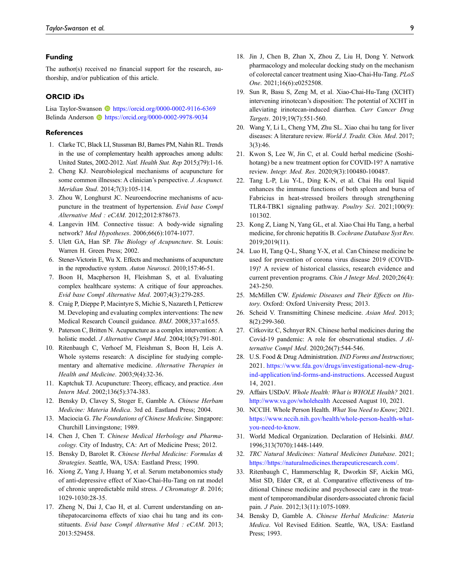## Funding

The author(s) received no financial support for the research, authorship, and/or publication of this article.

#### ORCID iDs

Lisa Taylor-Swanson **b** <https://orcid.org/0000-0002-9116-6369> Belinda Anderson **b** <https://orcid.org/0000-0002-9978-9034>

#### **References**

- <span id="page-8-0"></span>1. Clarke TC, Black LI, Stussman BJ, Barnes PM, Nahin RL. Trends in the use of complementary health approaches among adults: United States, 2002-2012. Natl. Health Stat. Rep 2015;(79):1-16.
- <span id="page-8-1"></span>2. Cheng KJ. Neurobiological mechanisms of acupuncture for some common illnesses: A clinician's perspective. J. Acupunct. Meridian Stud. 2014;7(3):105-114.
- 3. Zhou W, Longhurst JC. Neuroendocrine mechanisms of acupuncture in the treatment of hypertension. Evid base Compl Alternative Med : eCAM. 2012;2012:878673.
- 4. Langevin HM. Connective tissue: A body-wide signaling network? Med Hypotheses. 2006;66(6):1074-1077.
- 5. Ulett GA, Han SP. The Biology of Acupuncture. St. Louis: Warren H. Green Press; 2002.
- <span id="page-8-2"></span>6. Stener-Victorin E, Wu X. Effects and mechanisms of acupuncture in the reproductive system. Auton Neurosci. 2010;157:46-51.
- <span id="page-8-3"></span>7. Boon H, Macpherson H, Fleishman S, et al. Evaluating complex healthcare systems: A critique of four approaches. Evid base Compl Alternative Med. 2007;4(3):279-285.
- <span id="page-8-4"></span>8. Craig P, Dieppe P, Macintyre S, Michie S, Nazareth I, Petticrew M. Developing and evaluating complex interventions: The new Medical Research Council guidance. BMJ. 2008;337:a1655.
- <span id="page-8-5"></span>9. Paterson C, Britten N. Acupuncture as a complex intervention: A holistic model. J Alternative Compl Med. 2004;10(5):791-801.
- <span id="page-8-6"></span>10. Ritenbaugh C, Verhoef M, Fleishman S, Boon H, Leis A. Whole systems research: A discipline for studying complementary and alternative medicine. Alternative Therapies in Health and Medicine. 2003;9(4):32-36.
- <span id="page-8-7"></span>11. Kaptchuk TJ. Acupuncture: Theory, efficacy, and practice. Ann Intern Med. 2002;136(5):374-383.
- <span id="page-8-8"></span>12. Bensky D, Clavey S, Stoger E, Gamble A. Chinese Herbam Medicine: Materia Medica. 3rd ed. Eastland Press; 2004.
- <span id="page-8-9"></span>13. Maciocia G. The Foundations of Chinese Medicine. Singapore: Churchill Linvingstone; 1989.
- <span id="page-8-10"></span>14. Chen J, Chen T. Chinese Medical Herbology and Pharmacology. City of Industry, CA: Art of Medicine Press; 2012.
- <span id="page-8-11"></span>15. Bensky D, Barolet R. Chinese Herbal Medicine: Formulas & Strategies. Seattle, WA, USA: Eastland Press; 1990.
- <span id="page-8-12"></span>16. Xiong Z, Yang J, Huang Y, et al. Serum metabonomics study of anti-depressive effect of Xiao-Chai-Hu-Tang on rat model of chronic unpredictable mild stress. J Chromatogr B. 2016; 1029-1030:28-35.
- <span id="page-8-13"></span>17. Zheng N, Dai J, Cao H, et al. Current understanding on antihepatocarcinoma effects of xiao chai hu tang and its constituents. Evid base Compl Alternative Med : eCAM. 2013; 2013:529458.
- <span id="page-8-14"></span>18. Jin J, Chen B, Zhan X, Zhou Z, Liu H, Dong Y. Network pharmacology and molecular docking study on the mechanism of colorectal cancer treatment using Xiao-Chai-Hu-Tang. PLoS One. 2021;16(6):e0252508.
- <span id="page-8-15"></span>19. Sun R, Basu S, Zeng M, et al. Xiao-Chai-Hu-Tang (XCHT) intervening irinotecan's disposition: The potential of XCHT in alleviating irinotecan-induced diarrhea. Curr Cancer Drug Targets. 2019;19(7):551-560.
- <span id="page-8-16"></span>20. Wang Y, Li L, Cheng YM, Zhu SL. Xiao chai hu tang for liver diseases: A literature review. World J. Tradit. Chin. Med. 2017; 3(3):46.
- <span id="page-8-17"></span>21. Kwon S, Lee W, Jin C, et al. Could herbal medicine (Soshihotang) be a new treatment option for COVID-19? A narrative review. Integr. Med. Res. 2020;9(3):100480-100487.
- <span id="page-8-18"></span>22. Tang L-P, Liu Y-L, Ding K-N, et al. Chai Hu oral liquid enhances the immune functions of both spleen and bursa of Fabricius in heat-stressed broilers through strengthening TLR4-TBK1 signaling pathway. Poultry Sci. 2021;100(9): 101302.
- <span id="page-8-19"></span>23. Kong Z, Liang N, Yang GL, et al. Xiao Chai Hu Tang, a herbal medicine, for chronic hepatitis B. Cochrane Database Syst Rev. 2019;2019(11).
- <span id="page-8-20"></span>24. Luo H, Tang Q-L, Shang Y-X, et al. Can Chinese medicine be used for prevention of corona virus disease 2019 (COVID-19)? A review of historical classics, research evidence and current prevention programs. Chin J Integr Med. 2020;26(4): 243-250.
- <span id="page-8-21"></span>25. McMillen CW. Epidemic Diseases and Their Effects on History. Oxford: Oxford University Press; 2013.
- <span id="page-8-22"></span>26. Scheid V. Transmitting Chinese medicine. Asian Med. 2013; 8(2):299-360.
- <span id="page-8-23"></span>27. Citkovitz C, Schnyer RN. Chinese herbal medicines during the Covid-19 pandemic: A role for observational studies. J Alternative Compl Med. 2020;26(7):544-546.
- <span id="page-8-24"></span>28. U.S. Food & Drug Administration. *IND Forms and Instructions*; 2021. [https://www.fda.gov/drugs/investigational-new-drug](https://www.fda.gov/drugs/investigational-new-drug-ind-application/ind-forms-and-instructions)[ind-application/ind-forms-and-instructions](https://www.fda.gov/drugs/investigational-new-drug-ind-application/ind-forms-and-instructions). Accessed August 14, 2021.
- <span id="page-8-25"></span>29. Affairs USDoV. Whole Health: What is WHOLE Health? 2021. <http://www.va.gov/wholehealth> Accessed August 10, 2021.
- <span id="page-8-26"></span>30. NCCIH. Whole Person Health. What You Need to Know; 2021. [https://www.nccih.nih.gov/health/whole-person-health-what](https://www.nccih.nih.gov/health/whole-person-health-what-you-need-to-know)[you-need-to-know.](https://www.nccih.nih.gov/health/whole-person-health-what-you-need-to-know)
- <span id="page-8-27"></span>31. World Medical Organization. Declaration of Helsinki. BMJ. 1996;313(7070):1448-1449.
- <span id="page-8-28"></span>32. TRC Natural Medicines: Natural Medicines Database. 2021; <https://https://naturalmedicines.therapeuticresearch.com/>.
- <span id="page-8-29"></span>33. Ritenbaugh C, Hammerschlag R, Dworkin SF, Aickin MG, Mist SD, Elder CR, et al. Comparative effectiveness of traditional Chinese medicine and psychosocial care in the treatment of temporomandibular disorders-associated chronic facial pain. J Pain. 2012;13(11):1075-1089.
- <span id="page-8-30"></span>34. Bensky D, Gamble A. Chinese Herbal Medicine: Materia Medica. Vol Revised Edition. Seattle, WA, USA: Eastland Press; 1993.